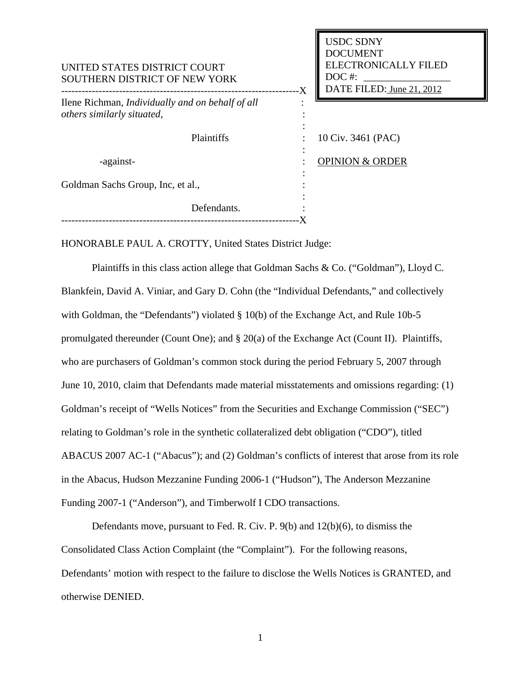| UNITED STATES DISTRICT COURT<br>SOUTHERN DISTRICT OF NEW YORK                         | <b>USDC SDNY</b><br><b>DOCUMENT</b><br><b>ELECTRONICALLY FILED</b><br>$DOC$ #:<br>DATE FILED: June 21, 2012<br>-X |  |
|---------------------------------------------------------------------------------------|-------------------------------------------------------------------------------------------------------------------|--|
| Ilene Richman, <i>Individually and on behalf of all</i><br>others similarly situated, |                                                                                                                   |  |
| Plaintiffs                                                                            | 10 Civ. 3461 (PAC)                                                                                                |  |
| -against-                                                                             | <b>OPINION &amp; ORDER</b>                                                                                        |  |
| Goldman Sachs Group, Inc, et al.,                                                     |                                                                                                                   |  |
| Defendants.                                                                           |                                                                                                                   |  |

HONORABLE PAUL A. CROTTY, United States District Judge:

Plaintiffs in this class action allege that Goldman Sachs & Co. ("Goldman"), Lloyd C. Blankfein, David A. Viniar, and Gary D. Cohn (the "Individual Defendants," and collectively with Goldman, the "Defendants") violated § 10(b) of the Exchange Act, and Rule 10b-5 promulgated thereunder (Count One); and § 20(a) of the Exchange Act (Count II). Plaintiffs, who are purchasers of Goldman's common stock during the period February 5, 2007 through June 10, 2010, claim that Defendants made material misstatements and omissions regarding: (1) Goldman's receipt of "Wells Notices" from the Securities and Exchange Commission ("SEC") relating to Goldman's role in the synthetic collateralized debt obligation ("CDO"), titled ABACUS 2007 AC-1 ("Abacus"); and (2) Goldman's conflicts of interest that arose from its role in the Abacus, Hudson Mezzanine Funding 2006-1 ("Hudson"), The Anderson Mezzanine Funding 2007-1 ("Anderson"), and Timberwolf I CDO transactions.

Defendants move, pursuant to Fed. R. Civ. P. 9(b) and 12(b)(6), to dismiss the Consolidated Class Action Complaint (the "Complaint"). For the following reasons, Defendants' motion with respect to the failure to disclose the Wells Notices is GRANTED, and otherwise DENIED.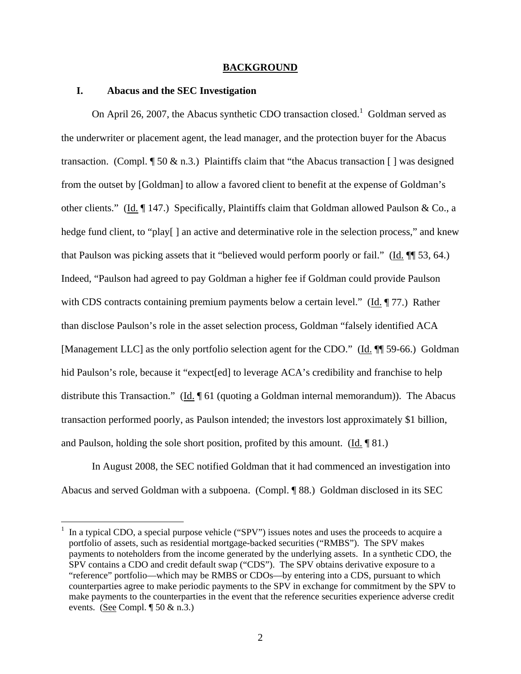#### **BACKGROUND**

# **I. Abacus and the SEC Investigation**

 $\overline{a}$ 

On April 26, 2007, the Abacus synthetic CDO transaction closed.<sup>1</sup> Goldman served as the underwriter or placement agent, the lead manager, and the protection buyer for the Abacus transaction. (Compl.  $\sqrt{\ }$  50 & n.3.) Plaintiffs claim that "the Abacus transaction [ ] was designed from the outset by [Goldman] to allow a favored client to benefit at the expense of Goldman's other clients." (Id. ¶ 147.) Specifically, Plaintiffs claim that Goldman allowed Paulson & Co., a hedge fund client, to "play[] an active and determinative role in the selection process," and knew that Paulson was picking assets that it "believed would perform poorly or fail." (Id. ¶¶ 53, 64.) Indeed, "Paulson had agreed to pay Goldman a higher fee if Goldman could provide Paulson with CDS contracts containing premium payments below a certain level." (Id. 177.) Rather than disclose Paulson's role in the asset selection process, Goldman "falsely identified ACA [Management LLC] as the only portfolio selection agent for the CDO." (Id.  $\P$  59-66.) Goldman hid Paulson's role, because it "expect[ed] to leverage ACA's credibility and franchise to help distribute this Transaction." (Id.  $\parallel$  61 (quoting a Goldman internal memorandum)). The Abacus transaction performed poorly, as Paulson intended; the investors lost approximately \$1 billion, and Paulson, holding the sole short position, profited by this amount. (Id. ¶ 81.)

 In August 2008, the SEC notified Goldman that it had commenced an investigation into Abacus and served Goldman with a subpoena.(Compl. ¶ 88.) Goldman disclosed in its SEC

<sup>1</sup> In a typical CDO, a special purpose vehicle ("SPV") issues notes and uses the proceeds to acquire a portfolio of assets, such as residential mortgage-backed securities ("RMBS"). The SPV makes payments to noteholders from the income generated by the underlying assets. In a synthetic CDO, the SPV contains a CDO and credit default swap ("CDS"). The SPV obtains derivative exposure to a "reference" portfolio—which may be RMBS or CDOs—by entering into a CDS, pursuant to which counterparties agree to make periodic payments to the SPV in exchange for commitment by the SPV to make payments to the counterparties in the event that the reference securities experience adverse credit events. (See Compl.  $\sqrt{50 \& n.3}$ .)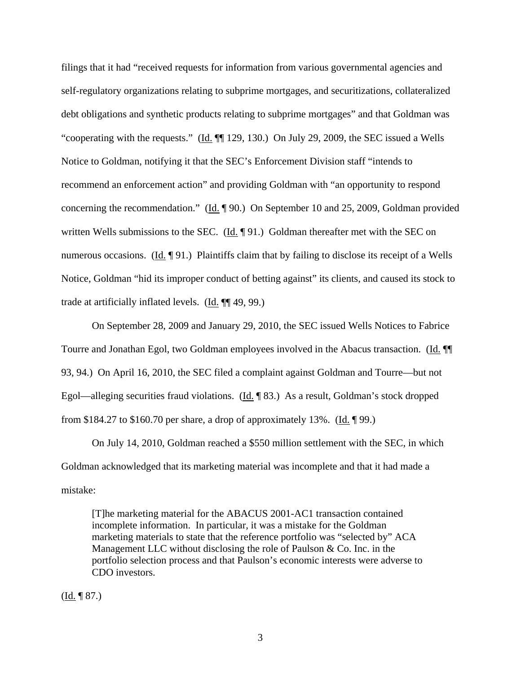filings that it had "received requests for information from various governmental agencies and self-regulatory organizations relating to subprime mortgages, and securitizations, collateralized debt obligations and synthetic products relating to subprime mortgages" and that Goldman was "cooperating with the requests." (Id. ¶¶ 129, 130.) On July 29, 2009, the SEC issued a Wells Notice to Goldman, notifying it that the SEC's Enforcement Division staff "intends to recommend an enforcement action" and providing Goldman with "an opportunity to respond concerning the recommendation." (Id. ¶ 90.) On September 10 and 25, 2009, Goldman provided written Wells submissions to the SEC. (Id. ¶ 91.) Goldman thereafter met with the SEC on numerous occasions. (Id. ¶ 91.) Plaintiffs claim that by failing to disclose its receipt of a Wells Notice, Goldman "hid its improper conduct of betting against" its clients, and caused its stock to trade at artificially inflated levels. (Id. ¶¶ 49, 99.)

 On September 28, 2009 and January 29, 2010, the SEC issued Wells Notices to Fabrice Tourre and Jonathan Egol, two Goldman employees involved in the Abacus transaction. (Id. ¶¶ 93, 94.) On April 16, 2010, the SEC filed a complaint against Goldman and Tourre—but not Egol—alleging securities fraud violations. (Id. ¶ 83.) As a result, Goldman's stock dropped from \$184.27 to \$160.70 per share, a drop of approximately 13%. (Id.  $\sqrt{99}$ .)

On July 14, 2010, Goldman reached a \$550 million settlement with the SEC, in which Goldman acknowledged that its marketing material was incomplete and that it had made a mistake:

[T]he marketing material for the ABACUS 2001-AC1 transaction contained incomplete information. In particular, it was a mistake for the Goldman marketing materials to state that the reference portfolio was "selected by" ACA Management LLC without disclosing the role of Paulson & Co. Inc. in the portfolio selection process and that Paulson's economic interests were adverse to CDO investors.

 $(\underline{Id.} \P 87.)$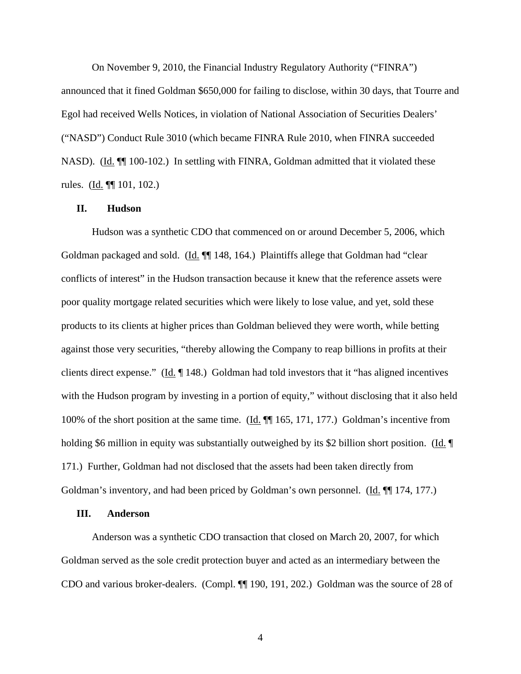On November 9, 2010, the Financial Industry Regulatory Authority ("FINRA") announced that it fined Goldman \$650,000 for failing to disclose, within 30 days, that Tourre and Egol had received Wells Notices, in violation of National Association of Securities Dealers' ("NASD") Conduct Rule 3010 (which became FINRA Rule 2010, when FINRA succeeded NASD). (Id.  $\P$  100-102.) In settling with FINRA, Goldman admitted that it violated these rules. (Id. ¶¶ 101, 102.)

### **II. Hudson**

Hudson was a synthetic CDO that commenced on or around December 5, 2006, which Goldman packaged and sold. (Id.  $\P$ ] 148, 164.) Plaintiffs allege that Goldman had "clear conflicts of interest" in the Hudson transaction because it knew that the reference assets were poor quality mortgage related securities which were likely to lose value, and yet, sold these products to its clients at higher prices than Goldman believed they were worth, while betting against those very securities, "thereby allowing the Company to reap billions in profits at their clients direct expense." (Id. ¶ 148.) Goldman had told investors that it "has aligned incentives with the Hudson program by investing in a portion of equity," without disclosing that it also held 100% of the short position at the same time. (Id. ¶¶ 165, 171, 177.) Goldman's incentive from holding \$6 million in equity was substantially outweighed by its \$2 billion short position. (Id. ¶ 171.) Further, Goldman had not disclosed that the assets had been taken directly from Goldman's inventory, and had been priced by Goldman's own personnel. (Id. ¶ 174, 177.)

### **III. Anderson**

Anderson was a synthetic CDO transaction that closed on March 20, 2007, for which Goldman served as the sole credit protection buyer and acted as an intermediary between the CDO and various broker-dealers. (Compl. ¶¶ 190, 191, 202.) Goldman was the source of 28 of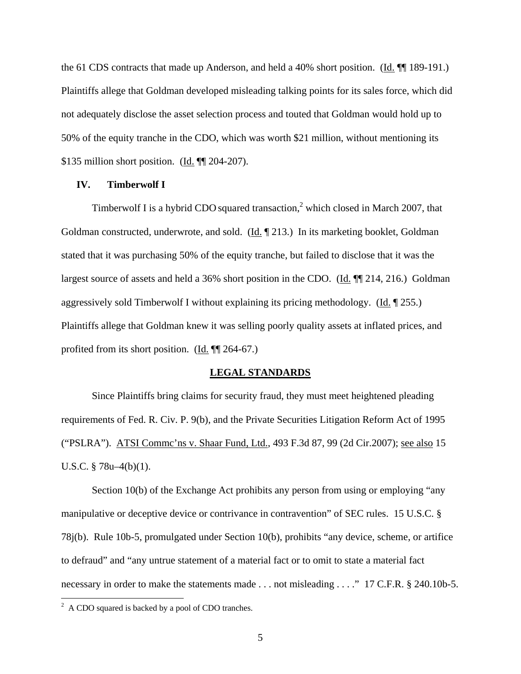the 61 CDS contracts that made up Anderson, and held a 40% short position. (Id. ¶ 189-191.) Plaintiffs allege that Goldman developed misleading talking points for its sales force, which did not adequately disclose the asset selection process and touted that Goldman would hold up to 50% of the equity tranche in the CDO, which was worth \$21 million, without mentioning its \$135 million short position. (Id. ¶¶ 204-207).

### **IV. Timberwolf I**

Timberwolf I is a hybrid CDO squared transaction,<sup>2</sup> which closed in March 2007, that Goldman constructed, underwrote, and sold. (Id. ¶ 213.) In its marketing booklet, Goldman stated that it was purchasing 50% of the equity tranche, but failed to disclose that it was the largest source of assets and held a 36% short position in the CDO. (Id.  $\P$  214, 216.) Goldman aggressively sold Timberwolf I without explaining its pricing methodology. (Id. ¶ 255.) Plaintiffs allege that Goldman knew it was selling poorly quality assets at inflated prices, and profited from its short position. (Id. ¶¶ 264-67.)

#### **LEGAL STANDARDS**

Since Plaintiffs bring claims for security fraud, they must meet heightened pleading requirements of Fed. R. Civ. P. 9(b), and the Private Securities Litigation Reform Act of 1995 ("PSLRA"). ATSI Commc'ns v. Shaar Fund, Ltd., 493 F.3d 87, 99 (2d Cir.2007); see also 15 U.S.C. § 78u–4(b)(1).

Section 10(b) of the Exchange Act prohibits any person from using or employing "any manipulative or deceptive device or contrivance in contravention" of SEC rules. 15 U.S.C. § 78j(b). Rule 10b-5, promulgated under Section 10(b), prohibits "any device, scheme, or artifice to defraud" and "any untrue statement of a material fact or to omit to state a material fact necessary in order to make the statements made . . . not misleading . . . ." 17 C.F.R. § 240.10b-5.

<sup>&</sup>lt;sup>2</sup> A CDO squared is backed by a pool of CDO tranches.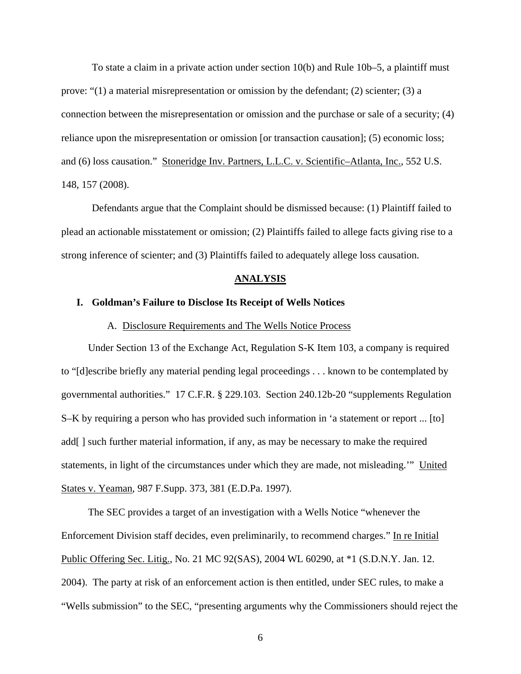To state a claim in a private action under section 10(b) and Rule 10b–5, a plaintiff must prove: " $(1)$  a material misrepresentation or omission by the defendant;  $(2)$  scienter;  $(3)$  a connection between the misrepresentation or omission and the purchase or sale of a security; (4) reliance upon the misrepresentation or omission [or transaction causation]; (5) economic loss; and (6) loss causation." Stoneridge Inv. Partners, L.L.C. v. Scientific–Atlanta, Inc., 552 U.S. 148, 157 (2008).

Defendants argue that the Complaint should be dismissed because: (1) Plaintiff failed to plead an actionable misstatement or omission; (2) Plaintiffs failed to allege facts giving rise to a strong inference of scienter; and (3) Plaintiffs failed to adequately allege loss causation.

### **ANALYSIS**

### **I. Goldman's Failure to Disclose Its Receipt of Wells Notices**

### A. Disclosure Requirements and The Wells Notice Process

Under Section 13 of the Exchange Act, Regulation S-K Item 103, a company is required to "[d]escribe briefly any material pending legal proceedings . . . known to be contemplated by governmental authorities." 17 C.F.R. § 229.103. Section 240.12b-20 "supplements Regulation S–K by requiring a person who has provided such information in 'a statement or report ... [to] add[] such further material information, if any, as may be necessary to make the required statements, in light of the circumstances under which they are made, not misleading." United States v. Yeaman, 987 F.Supp. 373, 381 (E.D.Pa. 1997).

The SEC provides a target of an investigation with a Wells Notice "whenever the Enforcement Division staff decides, even preliminarily, to recommend charges." In re Initial Public Offering Sec. Litig., No. 21 MC 92(SAS), 2004 WL 60290, at \*1 (S.D.N.Y. Jan. 12. 2004). The party at risk of an enforcement action is then entitled, under SEC rules, to make a "Wells submission" to the SEC, "presenting arguments why the Commissioners should reject the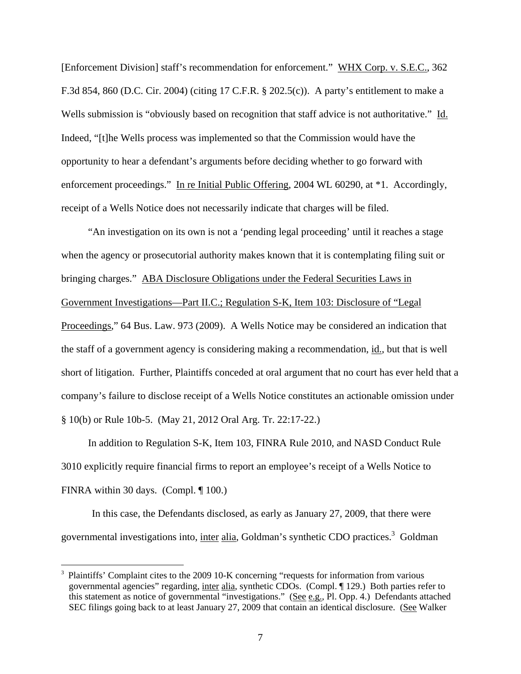[Enforcement Division] staff's recommendation for enforcement." WHX Corp. v. S.E.C., 362 F.3d 854, 860 (D.C. Cir. 2004) (citing 17 C.F.R. § 202.5(c)). A party's entitlement to make a Wells submission is "obviously based on recognition that staff advice is not authoritative." Id. Indeed, "[t]he Wells process was implemented so that the Commission would have the opportunity to hear a defendant's arguments before deciding whether to go forward with enforcement proceedings." In re Initial Public Offering, 2004 WL 60290, at \*1. Accordingly, receipt of a Wells Notice does not necessarily indicate that charges will be filed.

"An investigation on its own is not a 'pending legal proceeding' until it reaches a stage when the agency or prosecutorial authority makes known that it is contemplating filing suit or bringing charges." ABA Disclosure Obligations under the Federal Securities Laws in Government Investigations—Part II.C.; Regulation S-K, Item 103: Disclosure of "Legal Proceedings," 64 Bus. Law. 973 (2009). A Wells Notice may be considered an indication that the staff of a government agency is considering making a recommendation, id., but that is well short of litigation. Further, Plaintiffs conceded at oral argument that no court has ever held that a company's failure to disclose receipt of a Wells Notice constitutes an actionable omission under § 10(b) or Rule 10b-5. (May 21, 2012 Oral Arg. Tr. 22:17-22.)

In addition to Regulation S-K, Item 103, FINRA Rule 2010, and NASD Conduct Rule 3010 explicitly require financial firms to report an employee's receipt of a Wells Notice to FINRA within 30 days. (Compl. ¶ 100.)

In this case, the Defendants disclosed, as early as January 27, 2009, that there were governmental investigations into, inter alia, Goldman's synthetic CDO practices.<sup>3</sup> Goldman

 $\overline{a}$ 

<sup>3</sup> Plaintiffs' Complaint cites to the 2009 10-K concerning "requests for information from various governmental agencies" regarding, inter alia, synthetic CDOs. (Compl. ¶ 129.) Both parties refer to this statement as notice of governmental "investigations." (See e.g., Pl. Opp. 4.) Defendants attached SEC filings going back to at least January 27, 2009 that contain an identical disclosure. (See Walker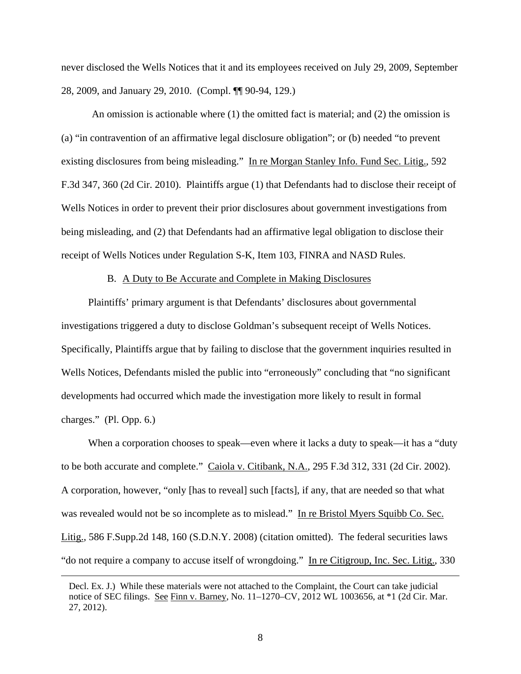never disclosed the Wells Notices that it and its employees received on July 29, 2009, September 28, 2009, and January 29, 2010. (Compl. ¶¶ 90-94, 129.)

An omission is actionable where  $(1)$  the omitted fact is material; and  $(2)$  the omission is (a) "in contravention of an affirmative legal disclosure obligation"; or (b) needed "to prevent existing disclosures from being misleading." In re Morgan Stanley Info. Fund Sec. Litig., 592 F.3d 347, 360 (2d Cir. 2010). Plaintiffs argue (1) that Defendants had to disclose their receipt of Wells Notices in order to prevent their prior disclosures about government investigations from being misleading, and (2) that Defendants had an affirmative legal obligation to disclose their receipt of Wells Notices under Regulation S-K, Item 103, FINRA and NASD Rules.

### B. A Duty to Be Accurate and Complete in Making Disclosures

Plaintiffs' primary argument is that Defendants' disclosures about governmental investigations triggered a duty to disclose Goldman's subsequent receipt of Wells Notices. Specifically, Plaintiffs argue that by failing to disclose that the government inquiries resulted in Wells Notices, Defendants misled the public into "erroneously" concluding that "no significant developments had occurred which made the investigation more likely to result in formal charges." (Pl. Opp. 6.)

When a corporation chooses to speak—even where it lacks a duty to speak—it has a "duty" to be both accurate and complete." Caiola v. Citibank, N.A., 295 F.3d 312, 331 (2d Cir. 2002). A corporation, however, "only [has to reveal] such [facts], if any, that are needed so that what was revealed would not be so incomplete as to mislead." In re Bristol Myers Squibb Co. Sec. Litig., 586 F.Supp.2d 148, 160 (S.D.N.Y. 2008) (citation omitted). The federal securities laws "do not require a company to accuse itself of wrongdoing." In re Citigroup, Inc. Sec. Litig., 330

Decl. Ex. J.) While these materials were not attached to the Complaint, the Court can take judicial notice of SEC filings. See Finn v. Barney, No. 11–1270–CV, 2012 WL 1003656, at \*1 (2d Cir. Mar. 27, 2012).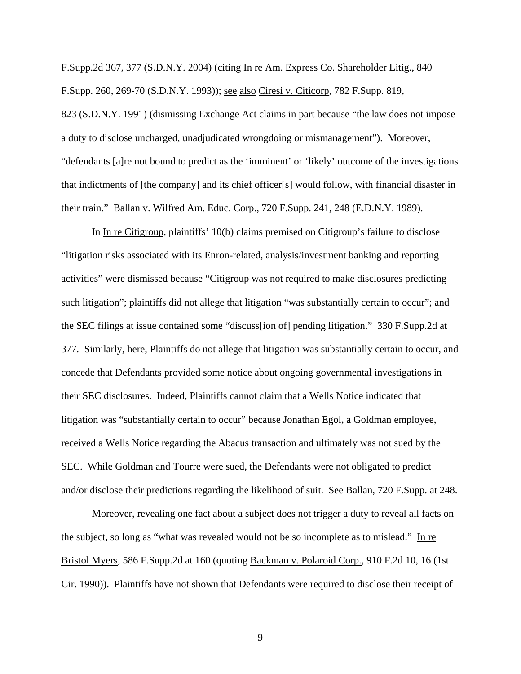F.Supp.2d 367, 377 (S.D.N.Y. 2004) (citing In re Am. Express Co. Shareholder Litig., 840 F.Supp. 260, 269-70 (S.D.N.Y. 1993)); see also Ciresi v. Citicorp, 782 F.Supp. 819, 823 (S.D.N.Y. 1991) (dismissing Exchange Act claims in part because "the law does not impose a duty to disclose uncharged, unadjudicated wrongdoing or mismanagement"). Moreover, "defendants [a]re not bound to predict as the 'imminent' or 'likely' outcome of the investigations that indictments of [the company] and its chief officer[s] would follow, with financial disaster in their train." Ballan v. Wilfred Am. Educ. Corp., 720 F.Supp. 241, 248 (E.D.N.Y. 1989).

In In re Citigroup, plaintiffs' 10(b) claims premised on Citigroup's failure to disclose "litigation risks associated with its Enron-related, analysis/investment banking and reporting activities" were dismissed because "Citigroup was not required to make disclosures predicting such litigation"; plaintiffs did not allege that litigation "was substantially certain to occur"; and the SEC filings at issue contained some "discuss[ion of] pending litigation." 330 F.Supp.2d at 377. Similarly, here, Plaintiffs do not allege that litigation was substantially certain to occur, and concede that Defendants provided some notice about ongoing governmental investigations in their SEC disclosures. Indeed, Plaintiffs cannot claim that a Wells Notice indicated that litigation was "substantially certain to occur" because Jonathan Egol, a Goldman employee, received a Wells Notice regarding the Abacus transaction and ultimately was not sued by the SEC. While Goldman and Tourre were sued, the Defendants were not obligated to predict and/or disclose their predictions regarding the likelihood of suit. See Ballan, 720 F.Supp. at 248.

Moreover, revealing one fact about a subject does not trigger a duty to reveal all facts on the subject, so long as "what was revealed would not be so incomplete as to mislead." In re Bristol Myers, 586 F.Supp.2d at 160 (quoting Backman v. Polaroid Corp., 910 F.2d 10, 16 (1st Cir. 1990)). Plaintiffs have not shown that Defendants were required to disclose their receipt of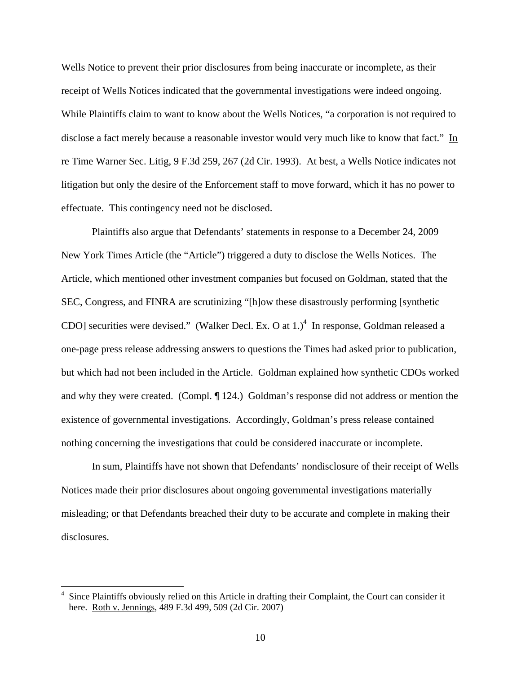Wells Notice to prevent their prior disclosures from being inaccurate or incomplete, as their receipt of Wells Notices indicated that the governmental investigations were indeed ongoing. While Plaintiffs claim to want to know about the Wells Notices, "a corporation is not required to disclose a fact merely because a reasonable investor would very much like to know that fact." In re Time Warner Sec. Litig, 9 F.3d 259, 267 (2d Cir. 1993). At best, a Wells Notice indicates not litigation but only the desire of the Enforcement staff to move forward, which it has no power to effectuate. This contingency need not be disclosed.

Plaintiffs also argue that Defendants' statements in response to a December 24, 2009 New York Times Article (the "Article") triggered a duty to disclose the Wells Notices. The Article, which mentioned other investment companies but focused on Goldman, stated that the SEC, Congress, and FINRA are scrutinizing "[h]ow these disastrously performing [synthetic CDO] securities were devised." (Walker Decl. Ex. O at  $1$ .)<sup>4</sup> In response, Goldman released a one-page press release addressing answers to questions the Times had asked prior to publication, but which had not been included in the Article. Goldman explained how synthetic CDOs worked and why they were created. (Compl. ¶ 124.) Goldman's response did not address or mention the existence of governmental investigations. Accordingly, Goldman's press release contained nothing concerning the investigations that could be considered inaccurate or incomplete.

In sum, Plaintiffs have not shown that Defendants' nondisclosure of their receipt of Wells Notices made their prior disclosures about ongoing governmental investigations materially misleading; or that Defendants breached their duty to be accurate and complete in making their disclosures.

<sup>&</sup>lt;sup>4</sup> Since Plaintiffs obviously relied on this Article in drafting their Complaint, the Court can consider it here. Roth v. Jennings, 489 F.3d 499, 509 (2d Cir. 2007)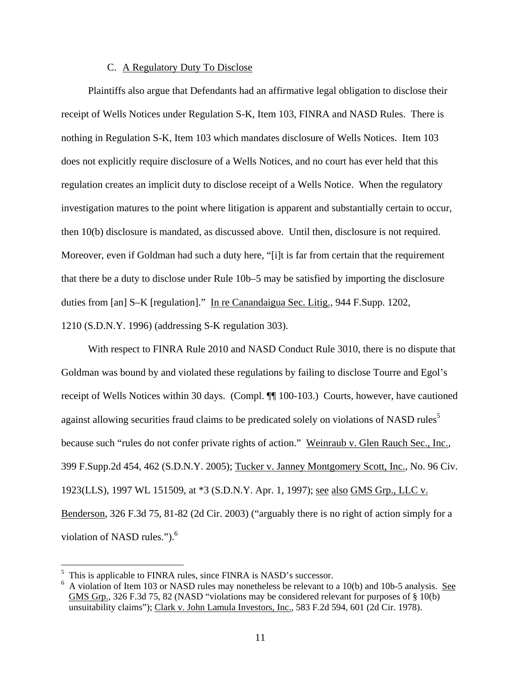# C. A Regulatory Duty To Disclose

Plaintiffs also argue that Defendants had an affirmative legal obligation to disclose their receipt of Wells Notices under Regulation S-K, Item 103, FINRA and NASD Rules. There is nothing in Regulation S-K, Item 103 which mandates disclosure of Wells Notices. Item 103 does not explicitly require disclosure of a Wells Notices, and no court has ever held that this regulation creates an implicit duty to disclose receipt of a Wells Notice. When the regulatory investigation matures to the point where litigation is apparent and substantially certain to occur, then 10(b) disclosure is mandated, as discussed above. Until then, disclosure is not required. Moreover, even if Goldman had such a duty here, "[i]t is far from certain that the requirement that there be a duty to disclose under Rule 10b–5 may be satisfied by importing the disclosure duties from [an] S–K [regulation]." In re Canandaigua Sec. Litig., 944 F.Supp. 1202, 1210 (S.D.N.Y. 1996) (addressing S-K regulation 303).

With respect to FINRA Rule 2010 and NASD Conduct Rule 3010, there is no dispute that Goldman was bound by and violated these regulations by failing to disclose Tourre and Egol's receipt of Wells Notices within 30 days. (Compl. ¶¶ 100-103.) Courts, however, have cautioned against allowing securities fraud claims to be predicated solely on violations of NASD rules<sup>5</sup> because such "rules do not confer private rights of action." Weinraub v. Glen Rauch Sec., Inc., 399 F.Supp.2d 454, 462 (S.D.N.Y. 2005); Tucker v. Janney Montgomery Scott, Inc., No. 96 Civ. 1923(LLS), 1997 WL 151509, at \*3 (S.D.N.Y. Apr. 1, 1997); see also GMS Grp., LLC v. Benderson, 326 F.3d 75, 81-82 (2d Cir. 2003) ("arguably there is no right of action simply for a violation of NASD rules.").<sup>6</sup>

 $\overline{a}$ 

<sup>5</sup> This is applicable to FINRA rules, since FINRA is NASD's successor.

<sup>6</sup> A violation of Item 103 or NASD rules may nonetheless be relevant to a 10(b) and 10b-5 analysis. See GMS Grp., 326 F.3d 75, 82 (NASD "violations may be considered relevant for purposes of § 10(b) unsuitability claims"); Clark v. John Lamula Investors, Inc., 583 F.2d 594, 601 (2d Cir. 1978).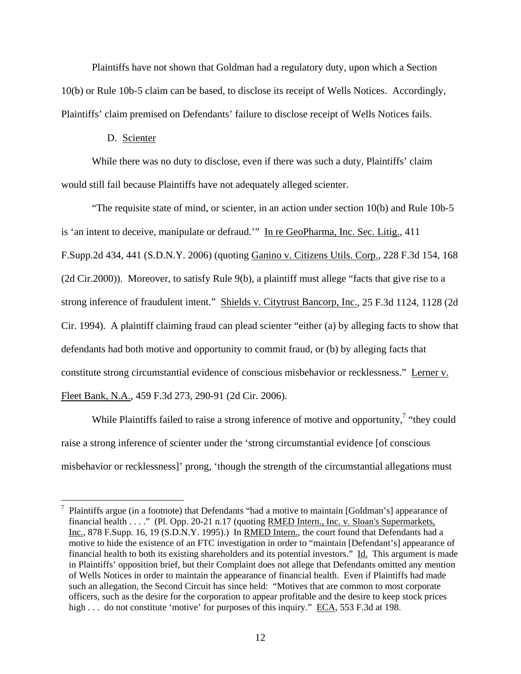Plaintiffs have not shown that Goldman had a regulatory duty, upon which a Section 10(b) or Rule 10b-5 claim can be based, to disclose its receipt of Wells Notices. Accordingly, Plaintiffs' claim premised on Defendants' failure to disclose receipt of Wells Notices fails.

# D. Scienter

1

While there was no duty to disclose, even if there was such a duty, Plaintiffs' claim would still fail because Plaintiffs have not adequately alleged scienter.

"The requisite state of mind, or scienter, in an action under section 10(b) and Rule 10b-5 is 'an intent to deceive, manipulate or defraud.'" In re GeoPharma, Inc. Sec. Litig., 411 F.Supp.2d 434, 441 (S.D.N.Y. 2006) (quoting Ganino v. Citizens Utils. Corp., 228 F.3d 154, 168 (2d Cir.2000)). Moreover, to satisfy Rule 9(b), a plaintiff must allege "facts that give rise to a strong inference of fraudulent intent." Shields v. Citytrust Bancorp, Inc., 25 F.3d 1124, 1128 (2d Cir. 1994). A plaintiff claiming fraud can plead scienter "either (a) by alleging facts to show that defendants had both motive and opportunity to commit fraud, or (b) by alleging facts that constitute strong circumstantial evidence of conscious misbehavior or recklessness." Lerner v. Fleet Bank, N.A., 459 F.3d 273, 290-91 (2d Cir. 2006).

While Plaintiffs failed to raise a strong inference of motive and opportunity,<sup>7</sup> "they could raise a strong inference of scienter under the 'strong circumstantial evidence [of conscious misbehavior or recklessness]' prong, 'though the strength of the circumstantial allegations must

<sup>7</sup> Plaintiffs argue (in a footnote) that Defendants "had a motive to maintain [Goldman's] appearance of financial health . . . ." (Pl. Opp. 20-21 n.17 (quoting RMED Intern., Inc. v. Sloan's Supermarkets, Inc., 878 F.Supp. 16, 19 (S.D.N.Y. 1995).) In RMED Intern., the court found that Defendants had a motive to hide the existence of an FTC investigation in order to "maintain [Defendant's] appearance of financial health to both its existing shareholders and its potential investors." Id. This argument is made in Plaintiffs' opposition brief, but their Complaint does not allege that Defendants omitted any mention of Wells Notices in order to maintain the appearance of financial health. Even if Plaintiffs had made such an allegation, the Second Circuit has since held: "Motives that are common to most corporate officers, such as the desire for the corporation to appear profitable and the desire to keep stock prices high . . . do not constitute 'motive' for purposes of this inquiry." ECA, 553 F.3d at 198.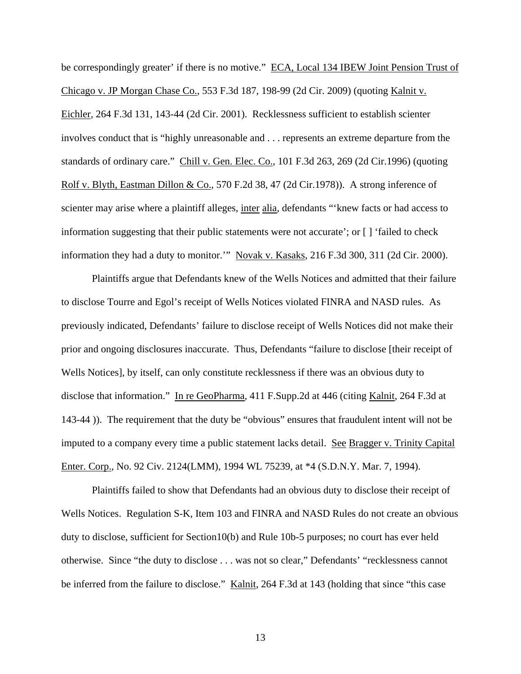be correspondingly greater' if there is no motive." ECA, Local 134 IBEW Joint Pension Trust of Chicago v. JP Morgan Chase Co., 553 F.3d 187, 198-99 (2d Cir. 2009) (quoting Kalnit v. Eichler, 264 F.3d 131, 143-44 (2d Cir. 2001). Recklessness sufficient to establish scienter involves conduct that is "highly unreasonable and . . . represents an extreme departure from the standards of ordinary care." Chill v. Gen. Elec. Co., 101 F.3d 263, 269 (2d Cir.1996) (quoting Rolf v. Blyth, Eastman Dillon & Co., 570 F.2d 38, 47 (2d Cir.1978)). A strong inference of scienter may arise where a plaintiff alleges, inter alia, defendants "'knew facts or had access to information suggesting that their public statements were not accurate'; or [ ] 'failed to check information they had a duty to monitor.'" Novak v. Kasaks, 216 F.3d 300, 311 (2d Cir. 2000).

 Plaintiffs argue that Defendants knew of the Wells Notices and admitted that their failure to disclose Tourre and Egol's receipt of Wells Notices violated FINRA and NASD rules. As previously indicated, Defendants' failure to disclose receipt of Wells Notices did not make their prior and ongoing disclosures inaccurate. Thus, Defendants "failure to disclose [their receipt of Wells Notices], by itself, can only constitute recklessness if there was an obvious duty to disclose that information." In re GeoPharma, 411 F.Supp.2d at 446 (citing Kalnit, 264 F.3d at 143-44 )). The requirement that the duty be "obvious" ensures that fraudulent intent will not be imputed to a company every time a public statement lacks detail. See Bragger v. Trinity Capital Enter. Corp., No. 92 Civ. 2124(LMM), 1994 WL 75239, at \*4 (S.D.N.Y. Mar. 7, 1994).

Plaintiffs failed to show that Defendants had an obvious duty to disclose their receipt of Wells Notices. Regulation S-K, Item 103 and FINRA and NASD Rules do not create an obvious duty to disclose, sufficient for Section10(b) and Rule 10b-5 purposes; no court has ever held otherwise. Since "the duty to disclose . . . was not so clear," Defendants' "recklessness cannot be inferred from the failure to disclose." Kalnit, 264 F.3d at 143 (holding that since "this case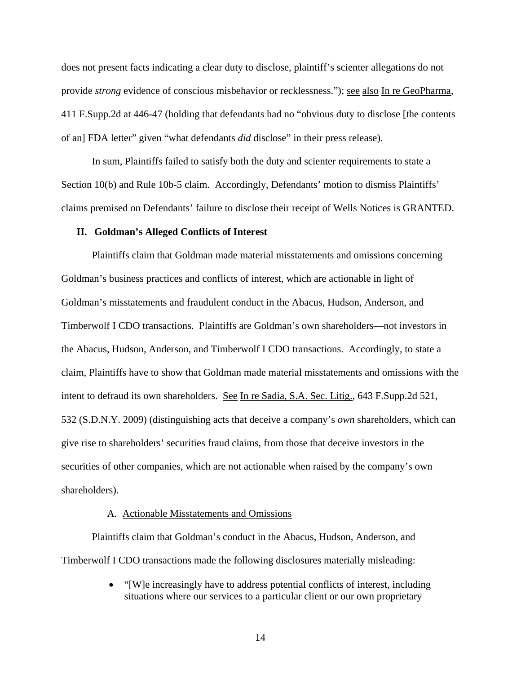does not present facts indicating a clear duty to disclose, plaintiff's scienter allegations do not provide *strong* evidence of conscious misbehavior or recklessness."); see also In re GeoPharma, 411 F.Supp.2d at 446-47 (holding that defendants had no "obvious duty to disclose [the contents of an] FDA letter" given "what defendants *did* disclose" in their press release).

In sum, Plaintiffs failed to satisfy both the duty and scienter requirements to state a Section 10(b) and Rule 10b-5 claim. Accordingly, Defendants' motion to dismiss Plaintiffs' claims premised on Defendants' failure to disclose their receipt of Wells Notices is GRANTED.

### **II. Goldman's Alleged Conflicts of Interest**

Plaintiffs claim that Goldman made material misstatements and omissions concerning Goldman's business practices and conflicts of interest, which are actionable in light of Goldman's misstatements and fraudulent conduct in the Abacus, Hudson, Anderson, and Timberwolf I CDO transactions. Plaintiffs are Goldman's own shareholders—not investors in the Abacus, Hudson, Anderson, and Timberwolf I CDO transactions. Accordingly, to state a claim, Plaintiffs have to show that Goldman made material misstatements and omissions with the intent to defraud its own shareholders. See In re Sadia, S.A. Sec. Litig., 643 F.Supp.2d 521, 532 (S.D.N.Y. 2009) (distinguishing acts that deceive a company's *own* shareholders, which can give rise to shareholders' securities fraud claims, from those that deceive investors in the securities of other companies, which are not actionable when raised by the company's own shareholders).

### A. Actionable Misstatements and Omissions

Plaintiffs claim that Goldman's conduct in the Abacus, Hudson, Anderson, and Timberwolf I CDO transactions made the following disclosures materially misleading:

> "[W]e increasingly have to address potential conflicts of interest, including situations where our services to a particular client or our own proprietary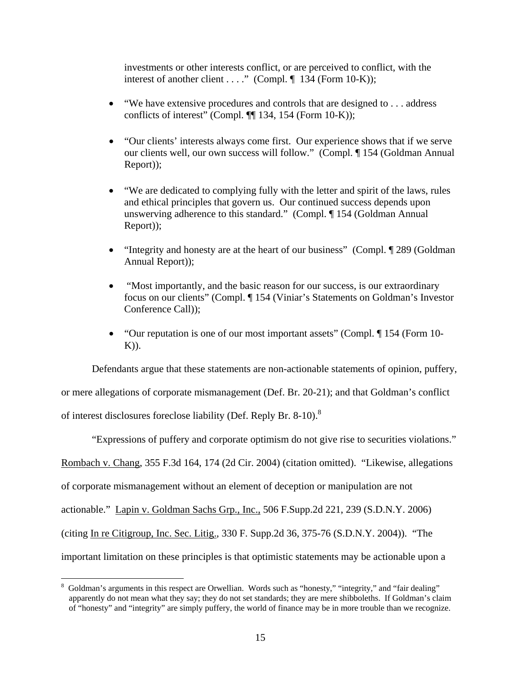investments or other interests conflict, or are perceived to conflict, with the interest of another client . . . ." (Compl.  $\P$  134 (Form 10-K));

- $\bullet$  "We have extensive procedures and controls that are designed to ... address conflicts of interest" (Compl. ¶¶ 134, 154 (Form 10-K));
- "Our clients' interests always come first. Our experience shows that if we serve our clients well, our own success will follow." (Compl. ¶ 154 (Goldman Annual Report));
- "We are dedicated to complying fully with the letter and spirit of the laws, rules and ethical principles that govern us. Our continued success depends upon unswerving adherence to this standard." (Compl. ¶ 154 (Goldman Annual Report));
- "Integrity and honesty are at the heart of our business" (Compl. 1948) (Goldman Annual Report));
- "Most importantly, and the basic reason for our success, is our extraordinary focus on our clients" (Compl. ¶ 154 (Viniar's Statements on Goldman's Investor Conference Call));
- "Our reputation is one of our most important assets" (Compl. ¶ 154 (Form 10-  $K$ )).

Defendants argue that these statements are non-actionable statements of opinion, puffery,

or mere allegations of corporate mismanagement (Def. Br. 20-21); and that Goldman's conflict

of interest disclosures foreclose liability (Def. Reply Br. 8-10).8

 $\overline{a}$ 

"Expressions of puffery and corporate optimism do not give rise to securities violations." Rombach v. Chang, 355 F.3d 164, 174 (2d Cir. 2004) (citation omitted). "Likewise, allegations of corporate mismanagement without an element of deception or manipulation are not actionable." Lapin v. Goldman Sachs Grp., Inc., 506 F.Supp.2d 221, 239 (S.D.N.Y. 2006) (citing In re Citigroup, Inc. Sec. Litig., 330 F. Supp.2d 36, 375-76 (S.D.N.Y. 2004)). "The important limitation on these principles is that optimistic statements may be actionable upon a

<sup>&</sup>lt;sup>8</sup> Goldman's arguments in this respect are Orwellian. Words such as "honesty," "integrity," and "fair dealing" apparently do not mean what they say; they do not set standards; they are mere shibboleths. If Goldman's claim of "honesty" and "integrity" are simply puffery, the world of finance may be in more trouble than we recognize.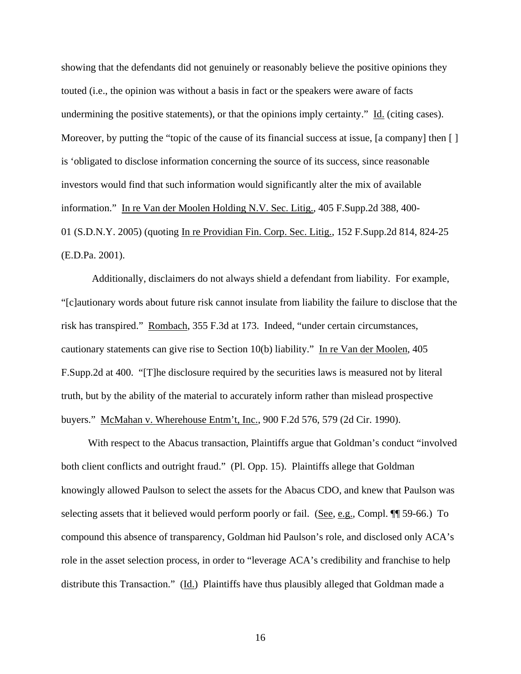showing that the defendants did not genuinely or reasonably believe the positive opinions they touted (i.e., the opinion was without a basis in fact or the speakers were aware of facts undermining the positive statements), or that the opinions imply certainty." Id. (citing cases). Moreover, by putting the "topic of the cause of its financial success at issue, [a company] then [] is 'obligated to disclose information concerning the source of its success, since reasonable investors would find that such information would significantly alter the mix of available information." In re Van der Moolen Holding N.V. Sec. Litig., 405 F.Supp.2d 388, 400- 01 (S.D.N.Y. 2005) (quoting In re Providian Fin. Corp. Sec. Litig., 152 F.Supp.2d 814, 824-25 (E.D.Pa. 2001).

Additionally, disclaimers do not always shield a defendant from liability. For example, "[c]autionary words about future risk cannot insulate from liability the failure to disclose that the risk has transpired." Rombach, 355 F.3d at 173. Indeed, "under certain circumstances, cautionary statements can give rise to Section 10(b) liability." In re Van der Moolen, 405 F.Supp.2d at 400. "[T]he disclosure required by the securities laws is measured not by literal truth, but by the ability of the material to accurately inform rather than mislead prospective buyers." McMahan v. Wherehouse Entm't, Inc., 900 F.2d 576, 579 (2d Cir. 1990).

With respect to the Abacus transaction, Plaintiffs argue that Goldman's conduct "involved both client conflicts and outright fraud." (Pl. Opp. 15). Plaintiffs allege that Goldman knowingly allowed Paulson to select the assets for the Abacus CDO, and knew that Paulson was selecting assets that it believed would perform poorly or fail. (See, e.g., Compl.  $\P$  59-66.) To compound this absence of transparency, Goldman hid Paulson's role, and disclosed only ACA's role in the asset selection process, in order to "leverage ACA's credibility and franchise to help distribute this Transaction." (Id.) Plaintiffs have thus plausibly alleged that Goldman made a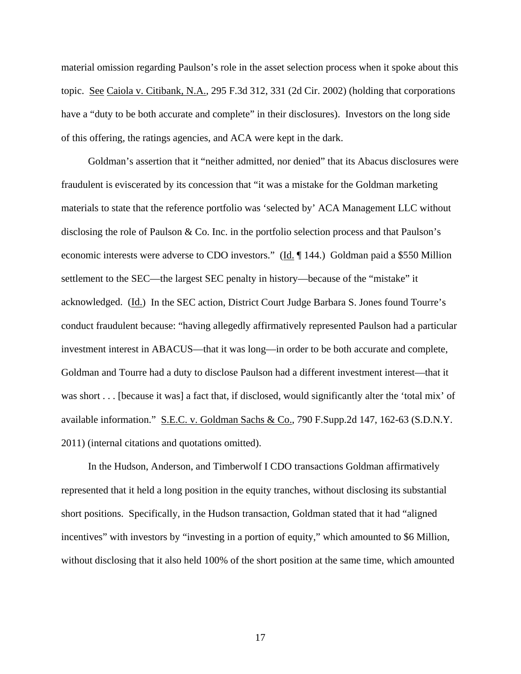material omission regarding Paulson's role in the asset selection process when it spoke about this topic. See Caiola v. Citibank, N.A., 295 F.3d 312, 331 (2d Cir. 2002) (holding that corporations have a "duty to be both accurate and complete" in their disclosures). Investors on the long side of this offering, the ratings agencies, and ACA were kept in the dark.

Goldman's assertion that it "neither admitted, nor denied" that its Abacus disclosures were fraudulent is eviscerated by its concession that "it was a mistake for the Goldman marketing materials to state that the reference portfolio was 'selected by' ACA Management LLC without disclosing the role of Paulson & Co. Inc. in the portfolio selection process and that Paulson's economic interests were adverse to CDO investors." (Id. ¶ 144.) Goldman paid a \$550 Million settlement to the SEC—the largest SEC penalty in history—because of the "mistake" it acknowledged. (Id.) In the SEC action, District Court Judge Barbara S. Jones found Tourre's conduct fraudulent because: "having allegedly affirmatively represented Paulson had a particular investment interest in ABACUS—that it was long—in order to be both accurate and complete, Goldman and Tourre had a duty to disclose Paulson had a different investment interest—that it was short . . . [because it was] a fact that, if disclosed, would significantly alter the 'total mix' of available information." S.E.C. v. Goldman Sachs & Co., 790 F.Supp.2d 147, 162-63 (S.D.N.Y. 2011) (internal citations and quotations omitted).

In the Hudson, Anderson, and Timberwolf I CDO transactions Goldman affirmatively represented that it held a long position in the equity tranches, without disclosing its substantial short positions. Specifically, in the Hudson transaction, Goldman stated that it had "aligned incentives" with investors by "investing in a portion of equity," which amounted to \$6 Million, without disclosing that it also held 100% of the short position at the same time, which amounted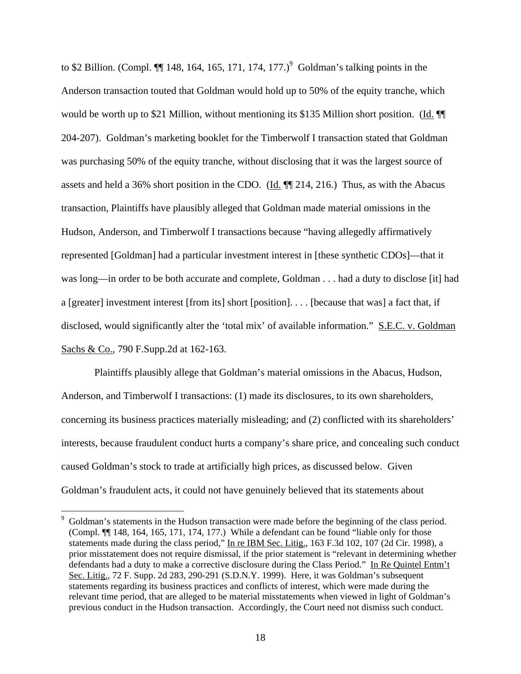to \$2 Billion. (Compl.  $\P$  148, 164, 165, 171, 174, 177.)<sup>9</sup> Goldman's talking points in the Anderson transaction touted that Goldman would hold up to 50% of the equity tranche, which would be worth up to \$21 Million, without mentioning its \$135 Million short position. (Id.  $\P$ 204-207). Goldman's marketing booklet for the Timberwolf I transaction stated that Goldman was purchasing 50% of the equity tranche, without disclosing that it was the largest source of assets and held a 36% short position in the CDO. (Id. ¶¶ 214, 216.) Thus, as with the Abacus transaction, Plaintiffs have plausibly alleged that Goldman made material omissions in the Hudson, Anderson, and Timberwolf I transactions because "having allegedly affirmatively represented [Goldman] had a particular investment interest in [these synthetic CDOs]—that it was long—in order to be both accurate and complete, Goldman . . . had a duty to disclose [it] had a [greater] investment interest [from its] short [position]. . . . [because that was] a fact that, if disclosed, would significantly alter the 'total mix' of available information." S.E.C. v. Goldman Sachs & Co., 790 F.Supp.2d at 162-163.

 Plaintiffs plausibly allege that Goldman's material omissions in the Abacus, Hudson, Anderson, and Timberwolf I transactions: (1) made its disclosures, to its own shareholders, concerning its business practices materially misleading; and (2) conflicted with its shareholders' interests, because fraudulent conduct hurts a company's share price, and concealing such conduct caused Goldman's stock to trade at artificially high prices, as discussed below. Given Goldman's fraudulent acts, it could not have genuinely believed that its statements about

 $\overline{a}$ 

<sup>9</sup> Goldman's statements in the Hudson transaction were made before the beginning of the class period. (Compl. ¶¶ 148, 164, 165, 171, 174, 177.) While a defendant can be found "liable only for those statements made during the class period," In re IBM Sec. Litig., 163 F.3d 102, 107 (2d Cir. 1998), a prior misstatement does not require dismissal, if the prior statement is "relevant in determining whether defendants had a duty to make a corrective disclosure during the Class Period." In Re Quintel Entm't Sec. Litig., 72 F. Supp. 2d 283, 290-291 (S.D.N.Y. 1999). Here, it was Goldman's subsequent statements regarding its business practices and conflicts of interest, which were made during the relevant time period, that are alleged to be material misstatements when viewed in light of Goldman's previous conduct in the Hudson transaction. Accordingly, the Court need not dismiss such conduct.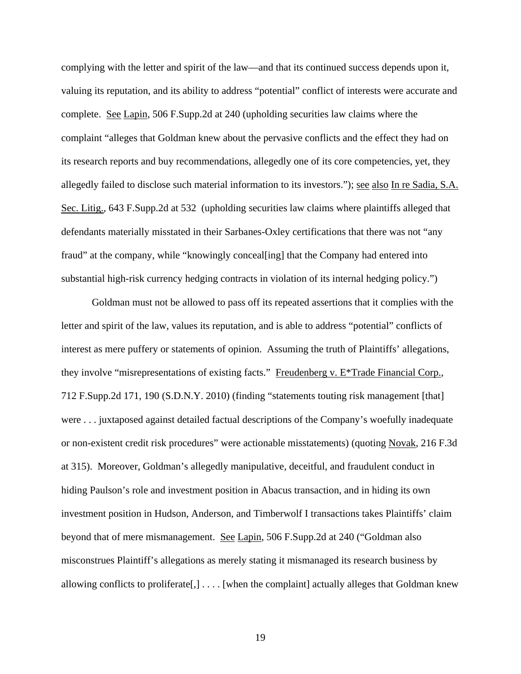complying with the letter and spirit of the law—and that its continued success depends upon it, valuing its reputation, and its ability to address "potential" conflict of interests were accurate and complete. See Lapin, 506 F.Supp.2d at 240 (upholding securities law claims where the complaint "alleges that Goldman knew about the pervasive conflicts and the effect they had on its research reports and buy recommendations, allegedly one of its core competencies, yet, they allegedly failed to disclose such material information to its investors."); see also In re Sadia, S.A. Sec. Litig., 643 F.Supp.2d at 532 (upholding securities law claims where plaintiffs alleged that defendants materially misstated in their Sarbanes-Oxley certifications that there was not "any fraud" at the company, while "knowingly conceal[ing] that the Company had entered into substantial high-risk currency hedging contracts in violation of its internal hedging policy.")

Goldman must not be allowed to pass off its repeated assertions that it complies with the letter and spirit of the law, values its reputation, and is able to address "potential" conflicts of interest as mere puffery or statements of opinion. Assuming the truth of Plaintiffs' allegations, they involve "misrepresentations of existing facts." Freudenberg v. E\*Trade Financial Corp., 712 F.Supp.2d 171, 190 (S.D.N.Y. 2010) (finding "statements touting risk management [that] were . . . juxtaposed against detailed factual descriptions of the Company's woefully inadequate or non-existent credit risk procedures" were actionable misstatements) (quoting Novak, 216 F.3d at 315). Moreover, Goldman's allegedly manipulative, deceitful, and fraudulent conduct in hiding Paulson's role and investment position in Abacus transaction, and in hiding its own investment position in Hudson, Anderson, and Timberwolf I transactions takes Plaintiffs' claim beyond that of mere mismanagement. See Lapin, 506 F.Supp.2d at 240 ("Goldman also misconstrues Plaintiff's allegations as merely stating it mismanaged its research business by allowing conflicts to proliferate  $[, ] \ldots [$  when the complaint actually alleges that Goldman knew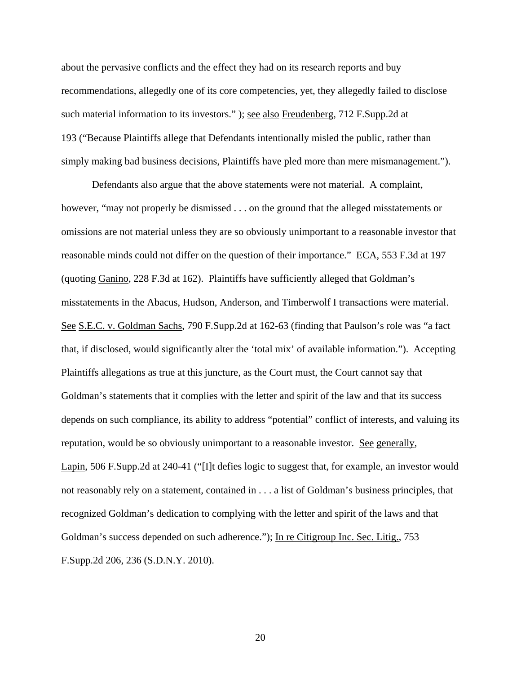about the pervasive conflicts and the effect they had on its research reports and buy recommendations, allegedly one of its core competencies, yet, they allegedly failed to disclose such material information to its investors." ); see also Freudenberg, 712 F.Supp.2d at 193 ("Because Plaintiffs allege that Defendants intentionally misled the public, rather than simply making bad business decisions, Plaintiffs have pled more than mere mismanagement.").

Defendants also argue that the above statements were not material. A complaint, however, "may not properly be dismissed . . . on the ground that the alleged misstatements or omissions are not material unless they are so obviously unimportant to a reasonable investor that reasonable minds could not differ on the question of their importance." ECA, 553 F.3d at 197 (quoting Ganino, 228 F.3d at 162). Plaintiffs have sufficiently alleged that Goldman's misstatements in the Abacus, Hudson, Anderson, and Timberwolf I transactions were material. See S.E.C. v. Goldman Sachs, 790 F.Supp.2d at 162-63 (finding that Paulson's role was "a fact that, if disclosed, would significantly alter the 'total mix' of available information."). Accepting Plaintiffs allegations as true at this juncture, as the Court must, the Court cannot say that Goldman's statements that it complies with the letter and spirit of the law and that its success depends on such compliance, its ability to address "potential" conflict of interests, and valuing its reputation, would be so obviously unimportant to a reasonable investor. See generally, Lapin, 506 F.Supp.2d at 240-41 ("[I]t defies logic to suggest that, for example, an investor would not reasonably rely on a statement, contained in . . . a list of Goldman's business principles, that recognized Goldman's dedication to complying with the letter and spirit of the laws and that Goldman's success depended on such adherence."); In re Citigroup Inc. Sec. Litig., 753 F.Supp.2d 206, 236 (S.D.N.Y. 2010).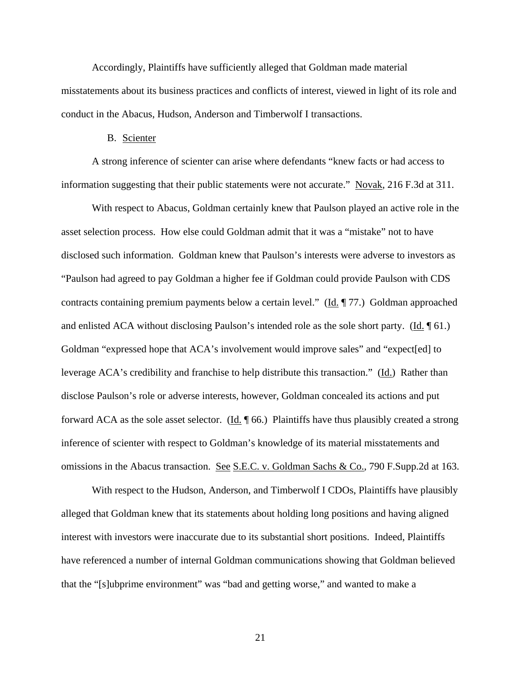Accordingly, Plaintiffs have sufficiently alleged that Goldman made material misstatements about its business practices and conflicts of interest, viewed in light of its role and conduct in the Abacus, Hudson, Anderson and Timberwolf I transactions.

# B. Scienter

A strong inference of scienter can arise where defendants "knew facts or had access to information suggesting that their public statements were not accurate." Novak, 216 F.3d at 311.

With respect to Abacus, Goldman certainly knew that Paulson played an active role in the asset selection process. How else could Goldman admit that it was a "mistake" not to have disclosed such information. Goldman knew that Paulson's interests were adverse to investors as "Paulson had agreed to pay Goldman a higher fee if Goldman could provide Paulson with CDS contracts containing premium payments below a certain level." (Id. 177.) Goldman approached and enlisted ACA without disclosing Paulson's intended role as the sole short party. (Id. ¶ 61.) Goldman "expressed hope that ACA's involvement would improve sales" and "expect[ed] to leverage ACA's credibility and franchise to help distribute this transaction." (Id.) Rather than disclose Paulson's role or adverse interests, however, Goldman concealed its actions and put forward ACA as the sole asset selector. (Id. ¶ 66.) Plaintiffs have thus plausibly created a strong inference of scienter with respect to Goldman's knowledge of its material misstatements and omissions in the Abacus transaction. See S.E.C. v. Goldman Sachs & Co., 790 F.Supp.2d at 163.

With respect to the Hudson, Anderson, and Timberwolf I CDOs, Plaintiffs have plausibly alleged that Goldman knew that its statements about holding long positions and having aligned interest with investors were inaccurate due to its substantial short positions. Indeed, Plaintiffs have referenced a number of internal Goldman communications showing that Goldman believed that the "[s]ubprime environment" was "bad and getting worse," and wanted to make a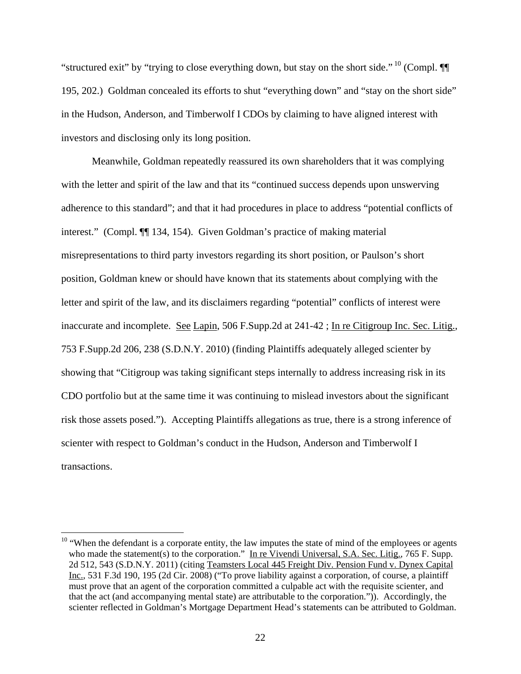"structured exit" by "trying to close everything down, but stay on the short side."  $^{10}$  (Compl.  $\P$ 195, 202.) Goldman concealed its efforts to shut "everything down" and "stay on the short side" in the Hudson, Anderson, and Timberwolf I CDOs by claiming to have aligned interest with investors and disclosing only its long position.

Meanwhile, Goldman repeatedly reassured its own shareholders that it was complying with the letter and spirit of the law and that its "continued success depends upon unswerving adherence to this standard"; and that it had procedures in place to address "potential conflicts of interest." (Compl. ¶¶ 134, 154). Given Goldman's practice of making material misrepresentations to third party investors regarding its short position, or Paulson's short position, Goldman knew or should have known that its statements about complying with the letter and spirit of the law, and its disclaimers regarding "potential" conflicts of interest were inaccurate and incomplete. See Lapin, 506 F.Supp.2d at 241-42; In re Citigroup Inc. Sec. Litig., 753 F.Supp.2d 206, 238 (S.D.N.Y. 2010) (finding Plaintiffs adequately alleged scienter by showing that "Citigroup was taking significant steps internally to address increasing risk in its CDO portfolio but at the same time it was continuing to mislead investors about the significant risk those assets posed."). Accepting Plaintiffs allegations as true, there is a strong inference of scienter with respect to Goldman's conduct in the Hudson, Anderson and Timberwolf I transactions.

 $\overline{a}$ 

 $10$  "When the defendant is a corporate entity, the law imputes the state of mind of the employees or agents who made the statement(s) to the corporation." In re Vivendi Universal, S.A. Sec. Litig., 765 F. Supp. 2d 512, 543 (S.D.N.Y. 2011) (citing Teamsters Local 445 Freight Div. Pension Fund v. Dynex Capital Inc., 531 F.3d 190, 195 (2d Cir. 2008) ("To prove liability against a corporation, of course, a plaintiff must prove that an agent of the corporation committed a culpable act with the requisite scienter, and that the act (and accompanying mental state) are attributable to the corporation.")). Accordingly, the scienter reflected in Goldman's Mortgage Department Head's statements can be attributed to Goldman.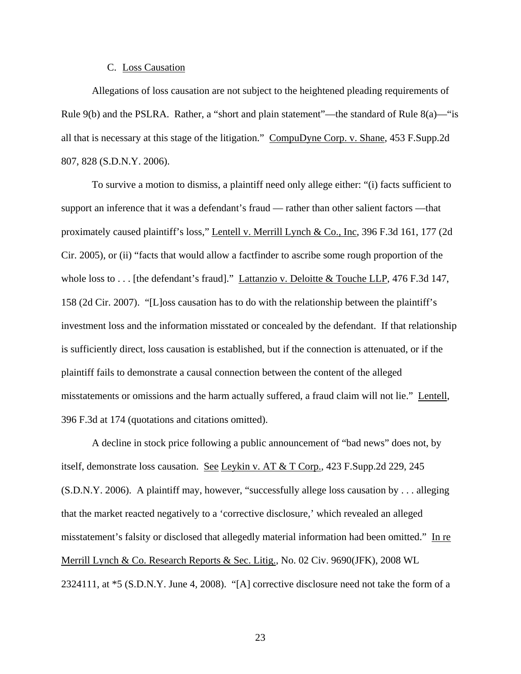### C. Loss Causation

Allegations of loss causation are not subject to the heightened pleading requirements of Rule 9(b) and the PSLRA. Rather, a "short and plain statement"—the standard of Rule 8(a)—"is all that is necessary at this stage of the litigation." CompuDyne Corp. v. Shane, 453 F.Supp.2d 807, 828 (S.D.N.Y. 2006).

To survive a motion to dismiss, a plaintiff need only allege either: "(i) facts sufficient to support an inference that it was a defendant's fraud — rather than other salient factors —that proximately caused plaintiff's loss," Lentell v. Merrill Lynch & Co., Inc, 396 F.3d 161, 177 (2d Cir. 2005), or (ii) "facts that would allow a factfinder to ascribe some rough proportion of the whole loss to . . . [the defendant's fraud]." Lattanzio v. Deloitte & Touche LLP, 476 F.3d 147, 158 (2d Cir. 2007). "[L]oss causation has to do with the relationship between the plaintiff's investment loss and the information misstated or concealed by the defendant. If that relationship is sufficiently direct, loss causation is established, but if the connection is attenuated, or if the plaintiff fails to demonstrate a causal connection between the content of the alleged misstatements or omissions and the harm actually suffered, a fraud claim will not lie." Lentell, 396 F.3d at 174 (quotations and citations omitted).

A decline in stock price following a public announcement of "bad news" does not, by itself, demonstrate loss causation. See Leykin v. AT & T Corp., 423 F.Supp.2d 229, 245 (S.D.N.Y. 2006). A plaintiff may, however, "successfully allege loss causation by . . . alleging that the market reacted negatively to a 'corrective disclosure,' which revealed an alleged misstatement's falsity or disclosed that allegedly material information had been omitted." In re Merrill Lynch & Co. Research Reports & Sec. Litig., No. 02 Civ. 9690(JFK), 2008 WL 2324111, at \*5 (S.D.N.Y. June 4, 2008). "[A] corrective disclosure need not take the form of a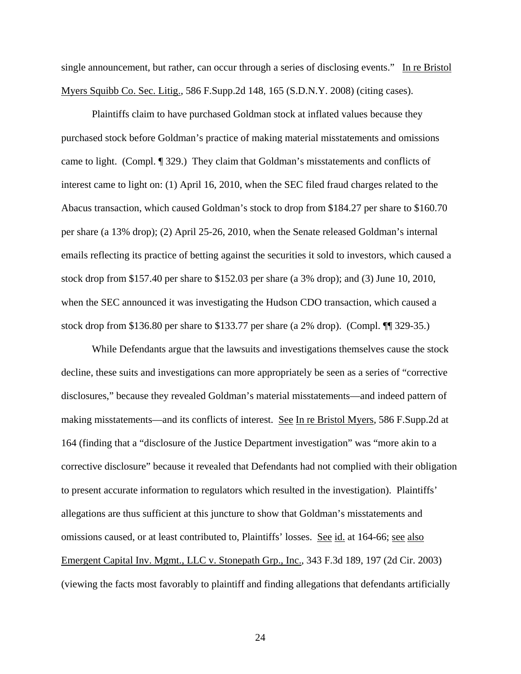single announcement, but rather, can occur through a series of disclosing events." In re Bristol Myers Squibb Co. Sec. Litig., 586 F.Supp.2d 148, 165 (S.D.N.Y. 2008) (citing cases).

Plaintiffs claim to have purchased Goldman stock at inflated values because they purchased stock before Goldman's practice of making material misstatements and omissions came to light. (Compl. ¶ 329.) They claim that Goldman's misstatements and conflicts of interest came to light on: (1) April 16, 2010, when the SEC filed fraud charges related to the Abacus transaction, which caused Goldman's stock to drop from \$184.27 per share to \$160.70 per share (a 13% drop); (2) April 25-26, 2010, when the Senate released Goldman's internal emails reflecting its practice of betting against the securities it sold to investors, which caused a stock drop from \$157.40 per share to \$152.03 per share (a 3% drop); and (3) June 10, 2010, when the SEC announced it was investigating the Hudson CDO transaction, which caused a stock drop from \$136.80 per share to \$133.77 per share (a 2% drop). (Compl. ¶¶ 329-35.)

While Defendants argue that the lawsuits and investigations themselves cause the stock decline, these suits and investigations can more appropriately be seen as a series of "corrective disclosures," because they revealed Goldman's material misstatements—and indeed pattern of making misstatements—and its conflicts of interest. See In re Bristol Myers, 586 F.Supp.2d at 164 (finding that a "disclosure of the Justice Department investigation" was "more akin to a corrective disclosure" because it revealed that Defendants had not complied with their obligation to present accurate information to regulators which resulted in the investigation). Plaintiffs' allegations are thus sufficient at this juncture to show that Goldman's misstatements and omissions caused, or at least contributed to, Plaintiffs' losses. See id. at 164-66; see also Emergent Capital Inv. Mgmt., LLC v. Stonepath Grp., Inc., 343 F.3d 189, 197 (2d Cir. 2003) (viewing the facts most favorably to plaintiff and finding allegations that defendants artificially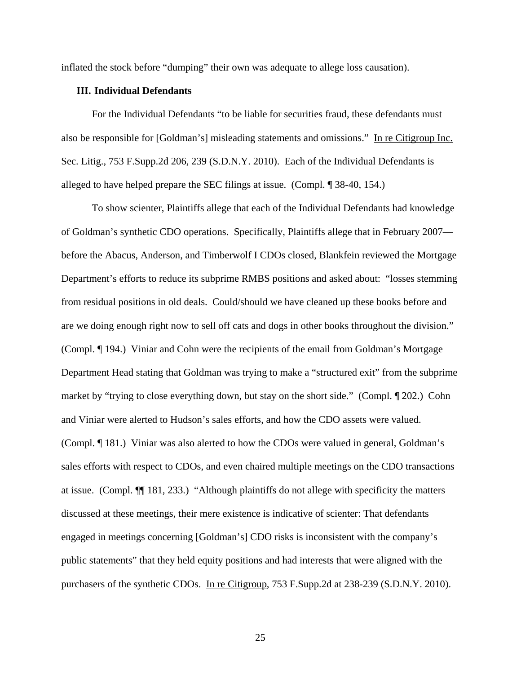inflated the stock before "dumping" their own was adequate to allege loss causation).

# **III. Individual Defendants**

For the Individual Defendants "to be liable for securities fraud, these defendants must also be responsible for [Goldman's] misleading statements and omissions." In re Citigroup Inc. Sec. Litig., 753 F.Supp.2d 206, 239 (S.D.N.Y. 2010). Each of the Individual Defendants is alleged to have helped prepare the SEC filings at issue. (Compl. ¶ 38-40, 154.)

To show scienter, Plaintiffs allege that each of the Individual Defendants had knowledge of Goldman's synthetic CDO operations. Specifically, Plaintiffs allege that in February 2007 before the Abacus, Anderson, and Timberwolf I CDOs closed, Blankfein reviewed the Mortgage Department's efforts to reduce its subprime RMBS positions and asked about: "losses stemming from residual positions in old deals. Could/should we have cleaned up these books before and are we doing enough right now to sell off cats and dogs in other books throughout the division." (Compl. ¶ 194.) Viniar and Cohn were the recipients of the email from Goldman's Mortgage Department Head stating that Goldman was trying to make a "structured exit" from the subprime market by "trying to close everything down, but stay on the short side." (Compl. ¶ 202.) Cohn and Viniar were alerted to Hudson's sales efforts, and how the CDO assets were valued. (Compl. ¶ 181.) Viniar was also alerted to how the CDOs were valued in general, Goldman's sales efforts with respect to CDOs, and even chaired multiple meetings on the CDO transactions at issue. (Compl. ¶¶ 181, 233.) "Although plaintiffs do not allege with specificity the matters discussed at these meetings, their mere existence is indicative of scienter: That defendants engaged in meetings concerning [Goldman's] CDO risks is inconsistent with the company's public statements" that they held equity positions and had interests that were aligned with the purchasers of the synthetic CDOs. In re Citigroup, 753 F.Supp.2d at 238-239 (S.D.N.Y. 2010).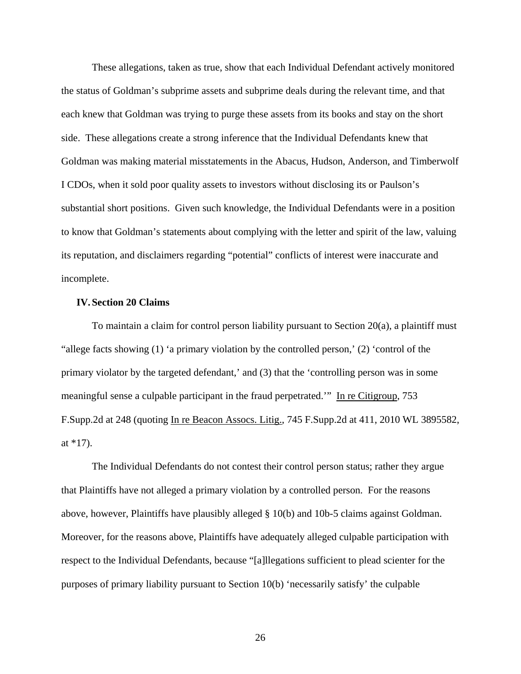These allegations, taken as true, show that each Individual Defendant actively monitored the status of Goldman's subprime assets and subprime deals during the relevant time, and that each knew that Goldman was trying to purge these assets from its books and stay on the short side. These allegations create a strong inference that the Individual Defendants knew that Goldman was making material misstatements in the Abacus, Hudson, Anderson, and Timberwolf I CDOs, when it sold poor quality assets to investors without disclosing its or Paulson's substantial short positions. Given such knowledge, the Individual Defendants were in a position to know that Goldman's statements about complying with the letter and spirit of the law, valuing its reputation, and disclaimers regarding "potential" conflicts of interest were inaccurate and incomplete.

### **IV. Section 20 Claims**

To maintain a claim for control person liability pursuant to Section 20(a), a plaintiff must "allege facts showing (1) 'a primary violation by the controlled person,' (2) 'control of the primary violator by the targeted defendant,' and (3) that the 'controlling person was in some meaningful sense a culpable participant in the fraud perpetrated." In re Citigroup, 753 F.Supp.2d at 248 (quoting In re Beacon Assocs. Litig., 745 F.Supp.2d at 411, 2010 WL 3895582, at \*17).

The Individual Defendants do not contest their control person status; rather they argue that Plaintiffs have not alleged a primary violation by a controlled person. For the reasons above, however, Plaintiffs have plausibly alleged § 10(b) and 10b-5 claims against Goldman. Moreover, for the reasons above, Plaintiffs have adequately alleged culpable participation with respect to the Individual Defendants, because "[a]llegations sufficient to plead scienter for the purposes of primary liability pursuant to Section 10(b) 'necessarily satisfy' the culpable